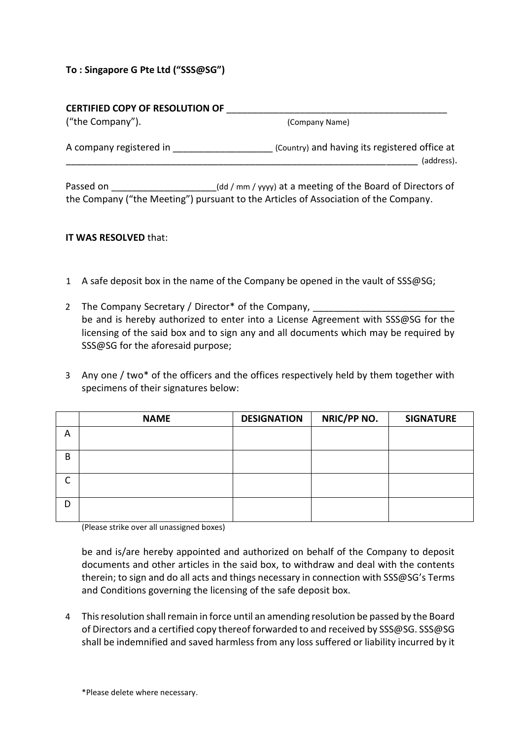## **To : Singapore G Pte Ltd ("SSS@SG")**

| <b>CERTIFIED COPY OF RESOLUTION OF</b> |                                                             |  |  |
|----------------------------------------|-------------------------------------------------------------|--|--|
| ("the Company").                       | (Company Name)                                              |  |  |
| A company registered in                | (Country) and having its registered office at<br>(address). |  |  |
| Daccad on                              | (dd / mm / www) at a meeting of the Roard of Directors of   |  |  |

Passed on \_\_\_\_\_\_\_\_\_\_\_\_\_\_\_\_\_\_\_\_\_\_(dd / mm / yyyy) at a meeting of the Board of Directors of the Company ("the Meeting") pursuant to the Articles of Association of the Company.

## **IT WAS RESOLVED** that:

- 1 A safe deposit box in the name of the Company be opened in the vault of SSS@SG;
- 2 The Company Secretary / Director\* of the Company, be and is hereby authorized to enter into a License Agreement with SSS@SG for the licensing of the said box and to sign any and all documents which may be required by SSS@SG for the aforesaid purpose;
- 3 Any one / two\* of the officers and the offices respectively held by them together with specimens of their signatures below:

|   | <b>NAME</b> | <b>DESIGNATION</b> | NRIC/PP NO. | <b>SIGNATURE</b> |
|---|-------------|--------------------|-------------|------------------|
| A |             |                    |             |                  |
| B |             |                    |             |                  |
| ⌒ |             |                    |             |                  |
| D |             |                    |             |                  |

(Please strike over all unassigned boxes)

be and is/are hereby appointed and authorized on behalf of the Company to deposit documents and other articles in the said box, to withdraw and deal with the contents therein; to sign and do all acts and things necessary in connection with SSS@SG's Terms and Conditions governing the licensing of the safe deposit box.

4 This resolution shall remain in force until an amending resolution be passed by the Board of Directors and a certified copy thereof forwarded to and received by SSS@SG. SSS@SG shall be indemnified and saved harmless from any loss suffered or liability incurred by it